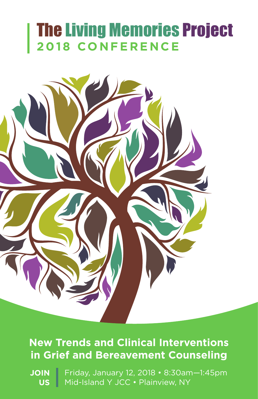# The Living Memories Project **2018 CONFERENCE**



## **New Trends and Clinical Interventions in Grief and Bereavement Counseling**

**JOIN US** Friday, January 12, 2018 • 8:30am—1:45pm Mid-Island Y JCC • Plainview, NY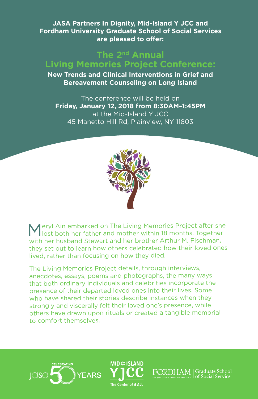**JASA Partners In Dignity, Mid-Island Y JCC and Fordham University Graduate School of Social Services are pleased to offer:**

#### **The 2nd Annual Living Memories Project Conference:**

**New Trends and Clinical Interventions in Grief and Bereavement Counseling on Long Island**

The conference will be held on **Friday, January 12, 2018 from 8:30AM–1:45PM**  at the Mid-Island Y JCC 45 Manetto Hill Rd, Plainview, NY 11803



Meryl Ain embarked on The Living Memories Project after she lost both her father and mother within 18 months. Together with her husband Stewart and her brother Arthur M. Fischman, they set out to learn how others celebrated how their loved ones lived, rather than focusing on how they died.

The Living Memories Project details, through interviews, anecdotes, essays, poems and photographs, the many ways that both ordinary individuals and celebrities incorporate the presence of their departed loved ones into their lives. Some who have shared their stories describe instances when they strongly and viscerally felt their loved one's presence, while others have drawn upon rituals or created a tangible memorial to comfort themselves.





Graduate School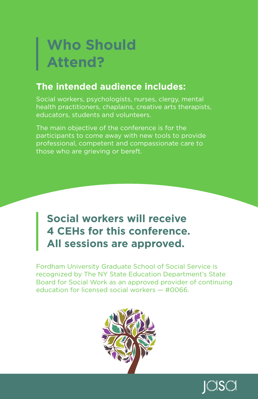# **Who Should Attend?**

### **The intended audience includes:**

Social workers, psychologists, nurses, clergy, mental health practitioners, chaplains, creative arts therapists, educators, students and volunteers.

The main objective of the conference is for the participants to come away with new tools to provide professional, competent and compassionate care to those who are grieving or bereft.

## **Social workers will receive 4 CEHs for this conference. All sessions are approved.**

Fordham University Graduate School of Social Service is recognized by The NY State Education Department's State Board for Social Work as an approved provider of continuing education for licensed social workers — #0066.



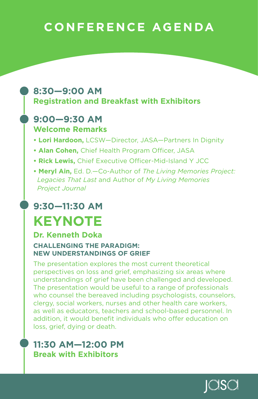## **CONFERENCE AGENDA**

### **8:30—9:00 AM Registration and Breakfast with Exhibitors**

#### **9:00—9:30 AM Welcome Remarks**

- **Lori Hardoon,** LCSW—Director, JASA—Partners In Dignity
- **Alan Cohen,** Chief Health Program Officer, JASA
- **Rick Lewis,** Chief Executive Officer-Mid-Island Y JCC
- **Meryl Ain,** Ed. D.—Co-Author of *The Living Memories Project: Legacies That Last* and Author of *My Living Memories Project Journal*

## **9:30—11:30 AM KEYNOTE**

#### **Dr. Kenneth Doka**

#### **CHALLENGING THE PARADIGM: NEW UNDERSTANDINGS OF GRIEF**

The presentation explores the most current theoretical perspectives on loss and grief, emphasizing six areas where understandings of grief have been challenged and developed. The presentation would be useful to a range of professionals who counsel the bereaved including psychologists, counselors, clergy, social workers, nurses and other health care workers, as well as educators, teachers and school-based personnel. In addition, it would benefit individuals who offer education on loss, grief, dying or death.

### **11:30 AM—12:00 PM Break with Exhibitors**

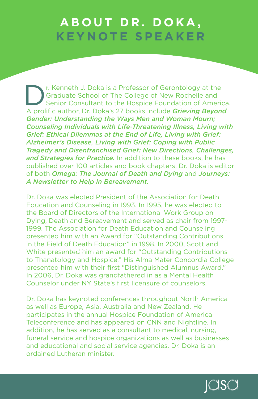## **ABOUT DR. DOKA, KEYNOTE SPEAKER**

The Kenneth J. Doka is a Professor of Gerontology at the Graduate School of The College of New Rochelle and Senior Consultant to the Hospice Foundation of America Graduate School of The College of New Rochelle and Senior Consultant to the Hospice Foundation of America. A prolific author, Dr. Doka's 27 books include *Grieving Beyond Gender: Understanding the Ways Men and Woman Mourn; Counseling Individuals with Life-Threatening Illness, Living with Grief: Ethical Dilemmas at the End of Life, Living with Grief: Alzheimer's Disease, Living with Grief: Coping with Public Tragedy and Disenfranchised Grief: New Directions, Challenges, and Strategies for Practice.* In addition to these books, he has published over 100 articles and book chapters. Dr. Doka is editor of both *Omega: The Journal of Death and Dying* and *Journeys: A Newsletter to Help in Bereavement.*

Dr. Doka was elected President of the Association for Death Education and Counseling in 1993. In 1995, he was elected to the Board of Directors of the International Work Group on Dying, Death and Bereavement and served as chair from 1997- 1999. The Association for Death Education and Counseling presented him with an Award for "Outstanding Contributions in the Field of Death Education" in 1998. In 2000, Scott and White presented him an award for "Outstanding Contributions to Thanatology and Hospice." His Alma Mater Concordia College presented him with their first "Distinguished Alumnus Award." In 2006, Dr. Doka was grandfathered in as a Mental Health Counselor under NY State's first licensure of counselors.

Dr. Doka has keynoted conferences throughout North America as well as Europe, Asia, Australia and New Zealand. He participates in the annual Hospice Foundation of America Teleconference and has appeared on CNN and Nightline. In addition, he has served as a consultant to medical, nursing, funeral service and hospice organizations as well as businesses and educational and social service agencies. Dr. Doka is an ordained Lutheran minister.

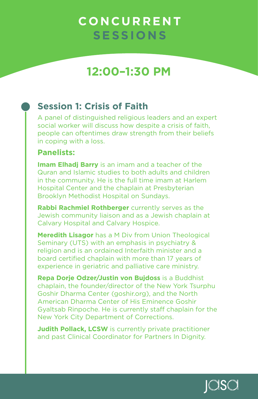## **12:00–1:30 PM**

### **Session 1: Crisis of Faith**

A panel of distinguished religious leaders and an expert social worker will discuss how despite a crisis of faith. people can oftentimes draw strength from their beliefs in coping with a loss.

#### **Panelists:**

**Imam Elhadi Barry** is an imam and a teacher of the Quran and Islamic studies to both adults and children in the community. He is the full time imam at Harlem Hospital Center and the chaplain at Presbyterian Brooklyn Methodist Hospital on Sundays.

**Rabbi Rachmiel Rothberger** currently serves as the Jewish community liaison and as a Jewish chaplain at Calvary Hospital and Calvary Hospice.

**Meredith Lisagor** has a M Div from Union Theological Seminary (UTS) with an emphasis in psychiatry & religion and is an ordained Interfaith minister and a board certified chaplain with more than 17 years of experience in geriatric and palliative care ministry.

**Repa Dorje Odzer/Justin von Bujdoss** is a Buddhist chaplain, the founder/director of the New York Tsurphu Goshir Dharma Center (goshir.org), and the North American Dharma Center of His Eminence Goshir Gyaltsab Rinpoche. He is currently staff chaplain for the New York City Department of Corrections.

**Judith Pollack, LCSW** is currently private practitioner and past Clinical Coordinator for Partners In Dignity.

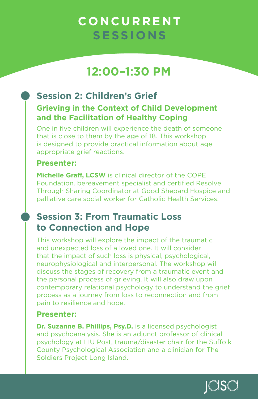## **12:00–1:30 PM**

### **Session 2: Children's Grief Grieving in the Context of Child Development and the Facilitation of Healthy Coping**

One in five children will experience the death of someone that is close to them by the age of 18. This workshop is designed to provide practical information about age appropriate grief reactions.

#### **Presenter:**

**Michelle Graff, LCSW** is clinical director of the COPE Foundation. bereavement specialist and certified Resolve Through Sharing Coordinator at Good Shepard Hospice and palliative care social worker for Catholic Health Services.

### **Session 3: From Traumatic Loss to Connection and Hope**

This workshop will explore the impact of the traumatic and unexpected loss of a loved one. It will consider that the impact of such loss is physical, psychological, neurophysiological and interpersonal. The workshop will discuss the stages of recovery from a traumatic event and the personal process of grieving. It will also draw upon contemporary relational psychology to understand the grief process as a journey from loss to reconnection and from pain to resilience and hope.

#### **Presenter:**

**Dr. Suzanne B. Phillips, Psy.D.** is a licensed psychologist and psychoanalysis. She is an adjunct professor of clinical psychology at LIU Post, trauma/disaster chair for the Suffolk County Psychological Association and a clinician for The Soldiers Project Long Island.

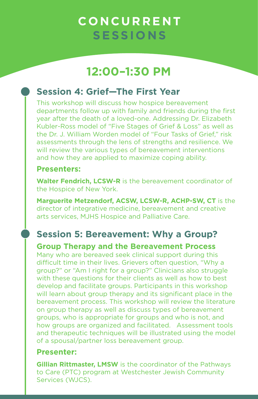## **12:00–1:30 PM**

### **Session 4: Grief—The First Year**

This workshop will discuss how hospice bereavement departments follow up with family and friends during the first year after the death of a loved-one. Addressing Dr. Elizabeth Kubler-Ross model of "Five Stages of Grief & Loss" as well as the Dr. J. William Worden model of "Four Tasks of Grief," risk assessments through the lens of strengths and resilience. We will review the various types of bereavement interventions and how they are applied to maximize coping ability.

#### **Presenters:**

**Walter Fendrich, LCSW-R** is the bereavement coordinator of the Hospice of New York.

**Marguerite Metzendorf, ACSW, LCSW-R, ACHP-SW, CT** is the director of integrative medicine, bereavement and creative arts services, MJHS Hospice and Palliative Care.

### **Session 5: Bereavement: Why a Group?**

**Group Therapy and the Bereavement Process**

Many who are bereaved seek clinical support during this difficult time in their lives. Grievers often question, "Why a group?" or "Am I right for a group?" Clinicians also struggle with these questions for their clients as well as how to best develop and facilitate groups. Participants in this workshop will learn about group therapy and its significant place in the bereavement process. This workshop will review the literature on group therapy as well as discuss types of bereavement groups, who is appropriate for groups and who is not, and how groups are organized and facilitated. Assessment tools and therapeutic techniques will be illustrated using the model of a spousal/partner loss bereavement group.

#### **Presenter:**

**Gillian Rittmaster, LMSW** is the coordinator of the Pathways to Care (PTC) program at Westchester Jewish Community Services (WJCS).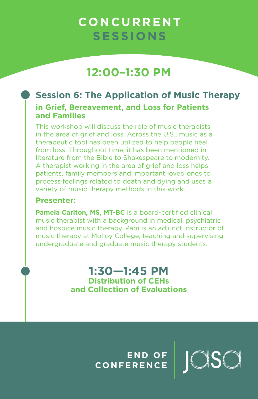## **12:00–1:30 PM**

### **Session 6: The Application of Music Therapy in Grief, Bereavement, and Loss for Patients and Families**

This workshop will discuss the role of music therapists in the area of grief and loss. Across the U.S., music as a therapeutic tool has been utilized to help people heal from loss. Throughout time, it has been mentioned in literature from the Bible to Shakespeare to modernity. A therapist working in the area of grief and loss helps patients, family members and important loved ones to process feelings related to death and dying and uses a variety of music therapy methods in this work.

#### **Presenter:**

**Pamela Carlton, MS, MT-BC** is a board-certified clinical music therapist with a background in medical, psychiatric and hospice music therapy. Pam is an adjunct instructor of music therapy at Molloy College, teaching and supervising undergraduate and graduate music therapy students.

> **1:30—1:45 PM Distribution of CEHs and Collection of Evaluations**

> > **E N D O F CONFERENCE**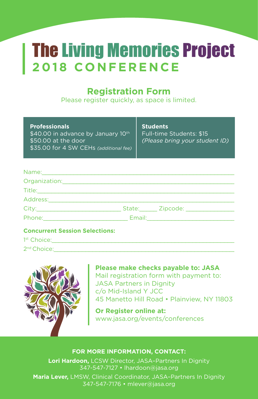# The Living Memories Project **2018 CONFERENCE**

### **Registration Form**

Please register quickly, as space is limited.

| <b>Professionals</b> |  |  |
|----------------------|--|--|
|                      |  |  |

\$40.00 in advance by January 10<sup>th</sup> \$50.00 at the door \$35.00 for 4 SW CEHs *(additional fee)* **Students** Full-time Students: \$15 *(Please bring your student ID)*

#### Name:\_\_\_\_\_\_\_\_\_\_\_\_\_\_\_\_\_\_\_\_\_\_\_\_\_\_\_\_\_\_\_\_\_\_\_\_\_\_\_\_\_\_\_\_\_\_\_\_\_\_\_\_\_\_\_\_\_

| Address: |                                         |
|----------|-----------------------------------------|
|          | State: _____ Zipcode: _________________ |
| Phone:   |                                         |

#### **Concurrent Session Selections:**

| 1 <sup>st</sup> Choice: |  |  |  |
|-------------------------|--|--|--|
| 2 <sup>nd</sup> Choice: |  |  |  |



**Please make checks payable to: JASA** Mail registration form with payment to: **JASA Partners in Dignity** c/o Mid-Island Y JCC 45 Manetto Hill Road • Plainview, NY 11803

**Or Register online at:**  www.jasa.org/events/conferences

#### **FOR MORE INFORMATION, CONTACT:**

**Lori Hardoon,** LCSW Director, JASA–Partners In Dignity 347-547-7127 • lhardoon@jasa.org

**Maria Lever,** LMSW, Clinical Coordinator, JASA–Partners In Dignity 347-547-7176 • mlever@jasa.org